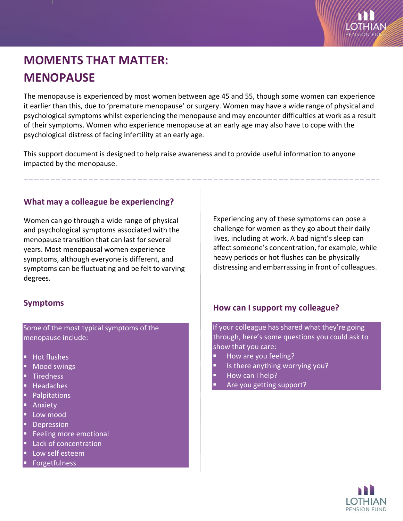

# **MOMENTS THAT MATTER: MENOPAUSE**

The menopause is experienced by most women between age 45 and 55, though some women can experience it earlier than this, due to 'premature menopause' or surgery. Women may have a wide range of physical and psychological symptoms whilst experiencing the menopause and may encounter difficulties at work as a result of their symptoms. Women who experience menopause at an early age may also have to cope with the psychological distress of facing infertility at an early age.

This support document is designed to help raise awareness and to provide useful information to anyone impacted by the menopause.

## **What may a colleague be experiencing?**

Women can go through a wide range of physical and psychological symptoms associated with the menopause transition that can last for several years. Most menopausal women experience symptoms, although everyone is different, and symptoms can be fluctuating and be felt to varying degrees.

#### **Symptoms**

Some of the most typical symptoms of the menopause include:

- Hot flushes
- Mood swings
- **Tiredness**
- Headaches
- Palpitations
- Anxiety
- Low mood
- Depression
- Feeling more emotional
- Lack of concentration
- Low self esteem
- Forgetfulness

Experiencing any of these symptoms can pose a challenge for women as they go about their daily lives, including at work. A bad night's sleep can affect someone's concentration, for example, while heavy periods or hot flushes can be physically distressing and embarrassing in front of colleagues.

#### **How can I support my colleague?**

If your colleague has shared what they're going through, here's some questions you could ask to show that you care:

- How are you feeling?
- Is there anything worrying you?
- How can I help?
- Are you getting support?